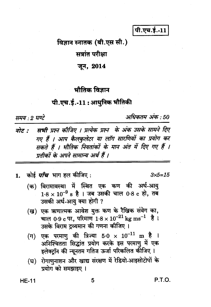पी.एच.ई.-11

विज्ञान स्नातक (बी.एस सी.)

सत्रांत परीक्षा

जून, 2014

## भौतिक विज्ञान

### पी.एच.ई.-11 : आधुनिक भौतिकी

ममय २ घण्टे

अधिकतम् अंक : 50

सभी प्रश्न कीजिए । प्रत्येक प्रश्न के अंक उसके सामने दिए नोट : गए हैं । आप कैलकुलेटर या लॉग सारणियों का प्रयोग कर सकते हैं । भौतिक नियतांकों के मान अंत में दिए गए हैं । प्रतीकों के अपने सामान्य अर्थ हैं ।

कोई *पाँच* भाग हल कीजिए : 1.

 $3x5 = 15$ 

- (क) विरामावस्था में स्थित एक कण की अर्ध-आय  $1.8 \times 10^{-9}$  s है । जब उसकी चाल 0.8 c हो, तब उसकी अर्ध-आयु क्या होगी ?
- (ख) एक ऋणात्मक आवेश युक्त कण के रैखिक संवेग का, चाल 0.9 c पर. परिमाण  $1.8 \times 10^{-21}$  kg ms<sup>-1</sup> है। उसके विराम टव्यमान की गणना कीजिए ।
- एक परमाणु की त्रिज्या 5.0  $\times$   $10^{-11}$  m है  $(\Pi)$ अनिश्चितता सिद्धांत प्रयोग करके इस परमाणु में एक इलेक्टॉन की न्यूनतम गतिज ऊर्जा परिकलित कीजिए ।
- रोगाणुनाशन और खाद्य संरक्षण में रेडियो-आइसोटोपों के (घ) प्रयोग को समझाइए ।

**HE-11** 

P.T.O.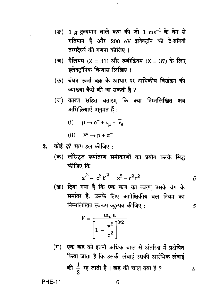- $(\vec{v})$  $1$  g द्रव्यमान वाले कण की जो  $1 \text{ ms}^{-1}$  के वेग से गतिमान है और 200 eV इलेक्टॉन की दे-ब्रॉग्ली तरंगदैर्घ्य की गणना कीजिए ।
- (च) गैलियम (Z = 31) और रूबीडियम (Z = 37) के लिए इलेक्टॉनिक विन्यास लिखिए।
- बंधन ऊर्जा वक्र के आधार पर नाभिकीय विखंडन की (छ) व्याख्या कैसे की जा सकती है ?
- $(\overline{u})$ कारण सहित बताइए कि क्या निम्नलिखित क्षय अभिक्रियाएँ अनुमत हैं:
	- (i)  $\mu \to e^- + v_\mu + v_e$

(ii) 
$$
\bar{\Lambda}^{\circ} \to p + \pi^{-}
$$

- कोई *दो* भाग हल कीजिए :  $2.$ 
	- (क) लोरेन्ट्ज़ रूपांतरण समीकरणों का प्रयोग करके सिद्ध कीजिए कि

$$
{x'}^2 - c^2 t'^2 = x^2 - c^2 t^2
$$

5

5

£

(ख) दिया गया है कि एक कण का त्वरण उसके वेग के समांतर है, उसके लिए आपेक्षिकीय बल नियम का निम्नलिखित स्वरूप व्युत्पन्न कीजिए:

$$
F = \frac{m_o a}{\left[1 - \frac{v^2}{c^2}\right]^{3/2}}
$$

(ग) एक छड़ को इतनी अधिक चाल से अंतरिक्ष में प्रक्षेपित किया जाता है कि उसकी लंबाई उसकी आरंभिक लंबाई की  $\frac{1}{3}$  रह जाती है । छड़ की चाल क्या है ?

**PHE-11**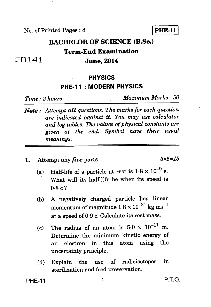#### No. of Printed Pages : 8 **PHE-11**

# **BACHELOR OF SCIENCE (B.Sc.) Term-End Examination**

## 00141 **June, 2014**

### **PHYSICS**

### **PHE-11 : MODERN PHYSICS**

*Time : 2 hours Maximum Marks : 50* 

- *Note : Attempt all questions. The marks for each question are indicated against it. You may use calculator and log tables. The values of physical constants are given at the end. Symbol have their usual meanings.*
- **1.** Attempt any *five* parts :  $3 \times 5 = 15$

- (a) Half-life of a particle at rest is  $1.8 \times 10^{-9}$  s. **What will its half-life be when its speed is 0.8 c?**
- **(b) A negatively charged particle has linear**  momentum of magnitude  $1.8 \times 10^{-21}$  kg ms<sup>-1</sup> **at a speed of 0.9 c. Calculate its rest mass.**
- (c) The radius of an atom is  $5.0 \times 10^{-11}$  m. **Determine the minimum kinetic energy of an electron in this atom using the uncertainty principle.**
- **(d) Explain the use of radioisotopes in sterilization and food preservation.**

**PHE-11** 1 **P.T.O.**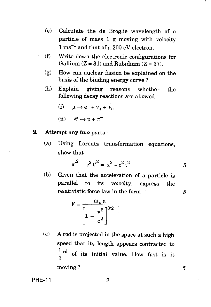- (e) Calculate the de Broglie wavelength of a particle of mass 1 g moving with velocity  $1 \text{ ms}^{-1}$  and that of a 200 eV electron.
- (f) Write down the electronic configurations for Gallium  $(Z = 31)$  and Rubidium  $(Z = 37)$ .
	- (g) How can nuclear fission be explained on the basis of the binding energy curve ?
	- (h) Explain giving reasons whether the following decay reactions are allowed :

(i) 
$$
\mu \rightarrow e^- + \nu_\mu + \overline{\nu}_e
$$

(ii) 
$$
\bar{\Lambda}^{\circ} \to p + \pi^{-}
$$

- **2.** Attempt any *two* parts :
	- (a) Using Lorentz transformation equations, show that

$$
x^2 - c^2 t^2 = x^2 - c^2 t^2
$$

5

 $\overline{5}$ 

(b) Given that the acceleration of a particle is parallel to its velocity, express the relativistic force law in the form

$$
F = \frac{m_o a}{\left[1 - \frac{v^2}{c^2}\right]^{3/2}}
$$

(c) A rod is projected in the space at such a high speed that its length appears contracted to  $\frac{1}{3}$ rd of its initial value. How fast is it moving ?

**PHE-11** 2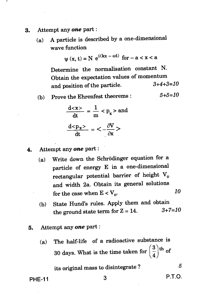- 3. Attempt any *one* part :
	- (a) A particle is described by a one-dimensional wave function function<br> $\psi(x, t) = N e^{i(kx - \omega t)}$  for  $-a < x < a$

$$
\Psi(x, t) = N e^{i(kx - \omega t)} \text{ for } -a < x < a
$$

Determine the normalisation constant N. Obtain the expectation values of momentum and position of the particle.  $3+4+3=10$ 

(b) Prove the Ehrenfest theorems :  $5+5=10$ 

$$
\frac{d}{dt} = \frac{1}{m} < p_x > \text{and}
$$

$$
\frac{d < p_x>}{dt} = \frac{\partial V}{\partial x} >
$$

4. Attempt any *one* part :

- (a) Write down the Schrodinger equation for a particle of energy E in a one-dimensional rectangular potential barrier of height  $V_0$ and width 2a. Obtain its general solutions for the case when  $E < V_0$ . 10
- (b) State Hund's rules. Apply them and obtain<br>the ground state torm for  $Z = 14$   $3+7=10$ the ground state term for  $Z = 14$ .
- 5. Attempt any *one* part :
	- (a) The half-life of a radioactive substance is 30 days. What is the time taken for  $\left(\frac{3}{4}\right)$ <sup>th</sup> of

its original mass to disintegrate ?  $5$ 

PHE-11 3 P.T.O.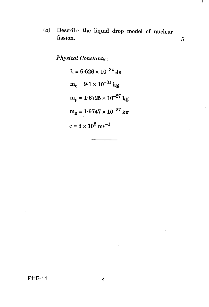(b) Describe the liquid drop model of nuclear fission. 5 Τ.

*Physical Constants :* 

h = 
$$
6.626 \times 10^{-34}
$$
 Js  
\nm<sub>e</sub> =  $9.1 \times 10^{-31}$  kg  
\nm<sub>p</sub> =  $1.6725 \times 10^{-27}$  kg  
\nm<sub>n</sub> =  $1.6747 \times 10^{-27}$  kg  
\nc =  $3 \times 10^8$  ms<sup>-1</sup>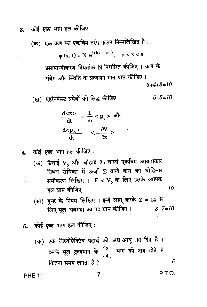कोई *एक* भाग हल कीजिए : 3.

(क) एक कण का एकविम तरंग फलन निम्नलिखित है :

$$
\mathbf{y}(\mathbf{x}, \mathbf{t}) = \mathbf{N} \ e^{\mathbf{i}(\mathbf{k}\mathbf{x} - \omega \mathbf{t})}, -\mathbf{a} < \mathbf{x} < \mathbf{a}
$$

प्रसामान्यीकरण नियतांक N निर्धारित कीजिए । कण के संवेग और स्थिति के प्रत्याशा मान प्राप्त कीजिए ।  $3+4+3=10$ 

(ख) एहरेनफेस्ट प्रमेयों को सिद्ध कीजिए:  $5 + 5 = 10$ 

$$
\frac{d}{dt} = \frac{1}{m} < p_x> \text{ sht}
$$

$$
\frac{d}{dt} = \frac{d}{dx} > 0
$$

कोई *एक* भाग हल कीजिए :  $\mathbf{A}_{\cdot}$ 

- (क) ऊँचाई V और चौड़ाई 2a वाली एकविम आयताकार विभव रोधिका में ऊर्जा E वाले कण का श्रोडिन्गर समीकरण लिखिए ।  $E < V_0$  के लिए इसके व्यापक  $10$ हल प्राप्त कीजिए ।
- (ख) हुन्ड के नियम लिखिए । इन्हें लागू करके Z = 14 के लिए मूल अवस्था का पद प्राप्त कीजिए।  $3 + 7 = 10$
- 5. कोई *एक* भाग हल कीजिए :
	- (क) एक रेडियोऐक्टिव पदार्थ की अर्ध-आयु 30 दिन है। इसके मूल द्रव्यमान के  $\left(\frac{3}{4}\right)$  भाग को क्षय होने में कितना समय लगता है ? 5

**PHE-11** 

**P.T.O.**